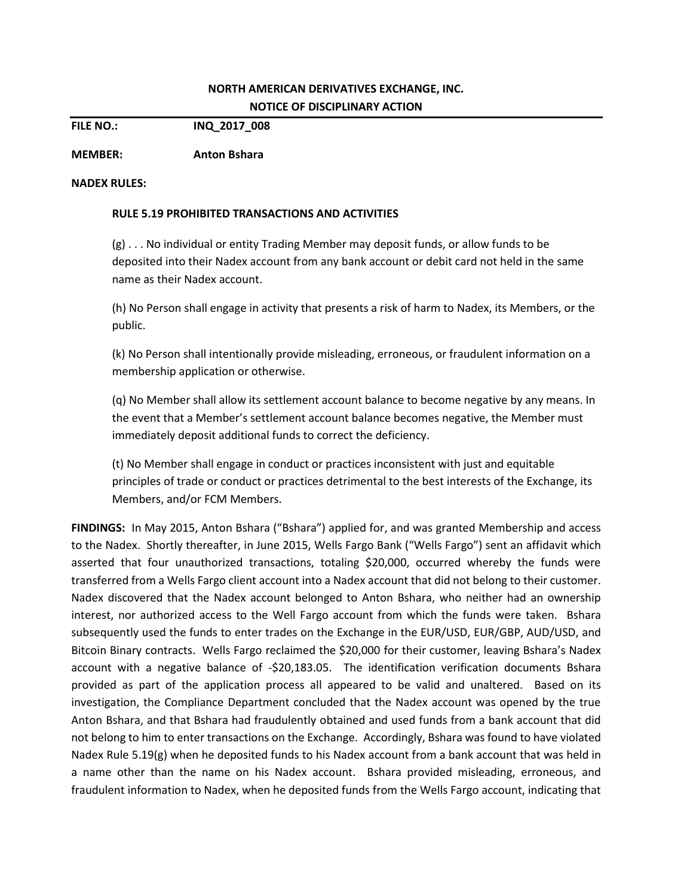## **NORTH AMERICAN DERIVATIVES EXCHANGE, INC. NOTICE OF DISCIPLINARY ACTION**

**FILE NO.: INQ\_2017\_008**

**MEMBER: Anton Bshara**

## **NADEX RULES:**

## **RULE 5.19 PROHIBITED TRANSACTIONS AND ACTIVITIES**

(g) . . . No individual or entity Trading Member may deposit funds, or allow funds to be deposited into their Nadex account from any bank account or debit card not held in the same name as their Nadex account.

(h) No Person shall engage in activity that presents a risk of harm to Nadex, its Members, or the public.

(k) No Person shall intentionally provide misleading, erroneous, or fraudulent information on a membership application or otherwise.

(q) No Member shall allow its settlement account balance to become negative by any means. In the event that a Member's settlement account balance becomes negative, the Member must immediately deposit additional funds to correct the deficiency.

(t) No Member shall engage in conduct or practices inconsistent with just and equitable principles of trade or conduct or practices detrimental to the best interests of the Exchange, its Members, and/or FCM Members.

**FINDINGS:** In May 2015, Anton Bshara ("Bshara") applied for, and was granted Membership and access to the Nadex. Shortly thereafter, in June 2015, Wells Fargo Bank ("Wells Fargo") sent an affidavit which asserted that four unauthorized transactions, totaling \$20,000, occurred whereby the funds were transferred from a Wells Fargo client account into a Nadex account that did not belong to their customer. Nadex discovered that the Nadex account belonged to Anton Bshara, who neither had an ownership interest, nor authorized access to the Well Fargo account from which the funds were taken. Bshara subsequently used the funds to enter trades on the Exchange in the EUR/USD, EUR/GBP, AUD/USD, and Bitcoin Binary contracts. Wells Fargo reclaimed the \$20,000 for their customer, leaving Bshara's Nadex account with a negative balance of -\$20,183.05. The identification verification documents Bshara provided as part of the application process all appeared to be valid and unaltered. Based on its investigation, the Compliance Department concluded that the Nadex account was opened by the true Anton Bshara, and that Bshara had fraudulently obtained and used funds from a bank account that did not belong to him to enter transactions on the Exchange. Accordingly, Bshara was found to have violated Nadex Rule 5.19(g) when he deposited funds to his Nadex account from a bank account that was held in a name other than the name on his Nadex account. Bshara provided misleading, erroneous, and fraudulent information to Nadex, when he deposited funds from the Wells Fargo account, indicating that